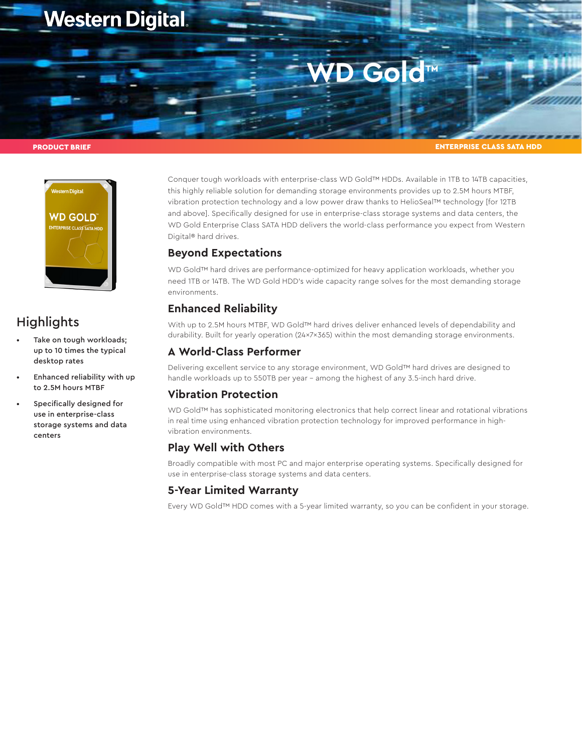## **Western Digital.**

# CO G<sup>TM</sup>

#### PRODUCT BRIEF

ENTERPRISE CLASS SATA HDD



### **Highlights**

- Take on tough workloads; up to 10 times the typical desktop rates
- Enhanced reliability with up to 2.5M hours MTBF
- Specifically designed for use in enterprise-class storage systems and data centers

Conquer tough workloads with enterprise-class WD Gold™ HDDs. Available in 1TB to 14TB capacities, this highly reliable solution for demanding storage environments provides up to 2.5M hours MTBF, vibration protection technology and a low power draw thanks to HelioSeal™ technology [for 12TB and above]. Specifically designed for use in enterprise-class storage systems and data centers, the WD Gold Enterprise Class SATA HDD delivers the world-class performance you expect from Western Digital® hard drives.

#### **Beyond Expectations**

WD Gold™ hard drives are performance-optimized for heavy application workloads, whether you need 1TB or 14TB. The WD Gold HDD's wide capacity range solves for the most demanding storage environments.

#### **Enhanced Reliability**

With up to 2.5M hours MTBF, WD Gold™ hard drives deliver enhanced levels of dependability and durability. Built for yearly operation (24x7x365) within the most demanding storage environments.

#### **A World-Class Performer**

Delivering excellent service to any storage environment, WD Gold™ hard drives are designed to handle workloads up to 550TB per year – among the highest of any 3.5-inch hard drive.

#### **Vibration Protection**

WD Gold™ has sophisticated monitoring electronics that help correct linear and rotational vibrations in real time using enhanced vibration protection technology for improved performance in highvibration environments.

#### **Play Well with Others**

Broadly compatible with most PC and major enterprise operating systems. Specifically designed for use in enterprise-class storage systems and data centers.

#### **5-Year Limited Warranty**

Every WD Gold™ HDD comes with a 5-year limited warranty, so you can be confident in your storage.